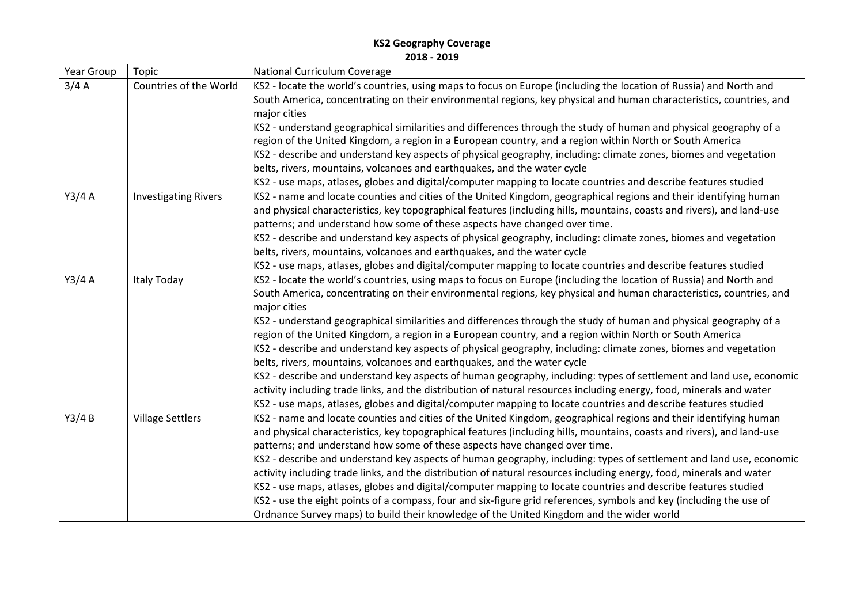| Year Group | Topic                       | <b>National Curriculum Coverage</b>                                                                                    |
|------------|-----------------------------|------------------------------------------------------------------------------------------------------------------------|
| 3/4A       | Countries of the World      | KS2 - locate the world's countries, using maps to focus on Europe (including the location of Russia) and North and     |
|            |                             | South America, concentrating on their environmental regions, key physical and human characteristics, countries, and    |
|            |                             | major cities                                                                                                           |
|            |                             | KS2 - understand geographical similarities and differences through the study of human and physical geography of a      |
|            |                             | region of the United Kingdom, a region in a European country, and a region within North or South America               |
|            |                             | KS2 - describe and understand key aspects of physical geography, including: climate zones, biomes and vegetation       |
|            |                             | belts, rivers, mountains, volcanoes and earthquakes, and the water cycle                                               |
|            |                             | KS2 - use maps, atlases, globes and digital/computer mapping to locate countries and describe features studied         |
| Y3/4A      | <b>Investigating Rivers</b> | KS2 - name and locate counties and cities of the United Kingdom, geographical regions and their identifying human      |
|            |                             | and physical characteristics, key topographical features (including hills, mountains, coasts and rivers), and land-use |
|            |                             | patterns; and understand how some of these aspects have changed over time.                                             |
|            |                             | KS2 - describe and understand key aspects of physical geography, including: climate zones, biomes and vegetation       |
|            |                             | belts, rivers, mountains, volcanoes and earthquakes, and the water cycle                                               |
|            |                             | KS2 - use maps, atlases, globes and digital/computer mapping to locate countries and describe features studied         |
| Y3/4A      | Italy Today                 | KS2 - locate the world's countries, using maps to focus on Europe (including the location of Russia) and North and     |
|            |                             | South America, concentrating on their environmental regions, key physical and human characteristics, countries, and    |
|            |                             | major cities                                                                                                           |
|            |                             | KS2 - understand geographical similarities and differences through the study of human and physical geography of a      |
|            |                             | region of the United Kingdom, a region in a European country, and a region within North or South America               |
|            |                             | KS2 - describe and understand key aspects of physical geography, including: climate zones, biomes and vegetation       |
|            |                             | belts, rivers, mountains, volcanoes and earthquakes, and the water cycle                                               |
|            |                             | KS2 - describe and understand key aspects of human geography, including: types of settlement and land use, economic    |
|            |                             | activity including trade links, and the distribution of natural resources including energy, food, minerals and water   |
|            |                             | KS2 - use maps, atlases, globes and digital/computer mapping to locate countries and describe features studied         |
| Y3/4B      | <b>Village Settlers</b>     | KS2 - name and locate counties and cities of the United Kingdom, geographical regions and their identifying human      |
|            |                             | and physical characteristics, key topographical features (including hills, mountains, coasts and rivers), and land-use |
|            |                             | patterns; and understand how some of these aspects have changed over time.                                             |
|            |                             | KS2 - describe and understand key aspects of human geography, including: types of settlement and land use, economic    |
|            |                             | activity including trade links, and the distribution of natural resources including energy, food, minerals and water   |
|            |                             | KS2 - use maps, atlases, globes and digital/computer mapping to locate countries and describe features studied         |
|            |                             | KS2 - use the eight points of a compass, four and six-figure grid references, symbols and key (including the use of    |
|            |                             | Ordnance Survey maps) to build their knowledge of the United Kingdom and the wider world                               |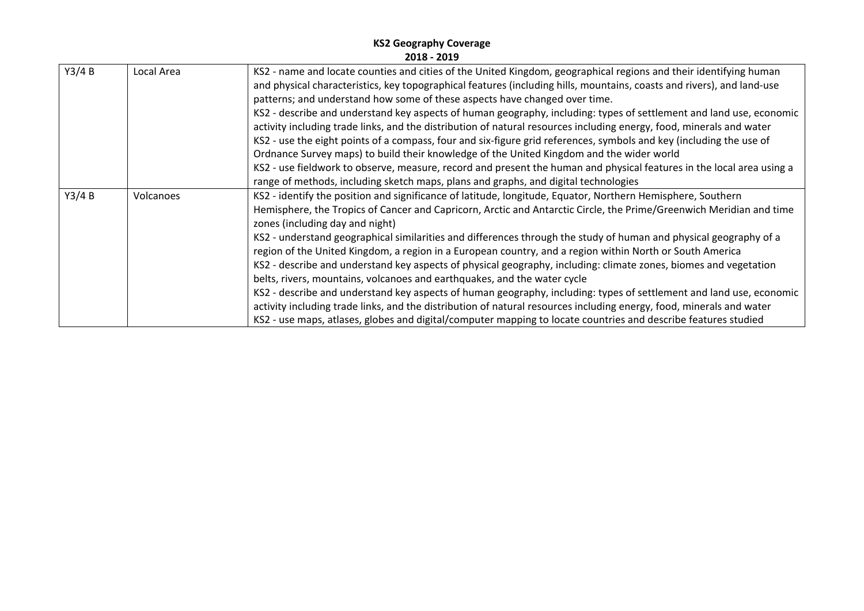| Y3/4B | Local Area | KS2 - name and locate counties and cities of the United Kingdom, geographical regions and their identifying human      |
|-------|------------|------------------------------------------------------------------------------------------------------------------------|
|       |            | and physical characteristics, key topographical features (including hills, mountains, coasts and rivers), and land-use |
|       |            | patterns; and understand how some of these aspects have changed over time.                                             |
|       |            | KS2 - describe and understand key aspects of human geography, including: types of settlement and land use, economic    |
|       |            | activity including trade links, and the distribution of natural resources including energy, food, minerals and water   |
|       |            | KS2 - use the eight points of a compass, four and six-figure grid references, symbols and key (including the use of    |
|       |            | Ordnance Survey maps) to build their knowledge of the United Kingdom and the wider world                               |
|       |            | KS2 - use fieldwork to observe, measure, record and present the human and physical features in the local area using a  |
|       |            | range of methods, including sketch maps, plans and graphs, and digital technologies                                    |
| Y3/4B | Volcanoes  | KS2 - identify the position and significance of latitude, longitude, Equator, Northern Hemisphere, Southern            |
|       |            | Hemisphere, the Tropics of Cancer and Capricorn, Arctic and Antarctic Circle, the Prime/Greenwich Meridian and time    |
|       |            | zones (including day and night)                                                                                        |
|       |            | KS2 - understand geographical similarities and differences through the study of human and physical geography of a      |
|       |            | region of the United Kingdom, a region in a European country, and a region within North or South America               |
|       |            | KS2 - describe and understand key aspects of physical geography, including: climate zones, biomes and vegetation       |
|       |            | belts, rivers, mountains, volcanoes and earthquakes, and the water cycle                                               |
|       |            | KS2 - describe and understand key aspects of human geography, including: types of settlement and land use, economic    |
|       |            | activity including trade links, and the distribution of natural resources including energy, food, minerals and water   |
|       |            | KS2 - use maps, atlases, globes and digital/computer mapping to locate countries and describe features studied         |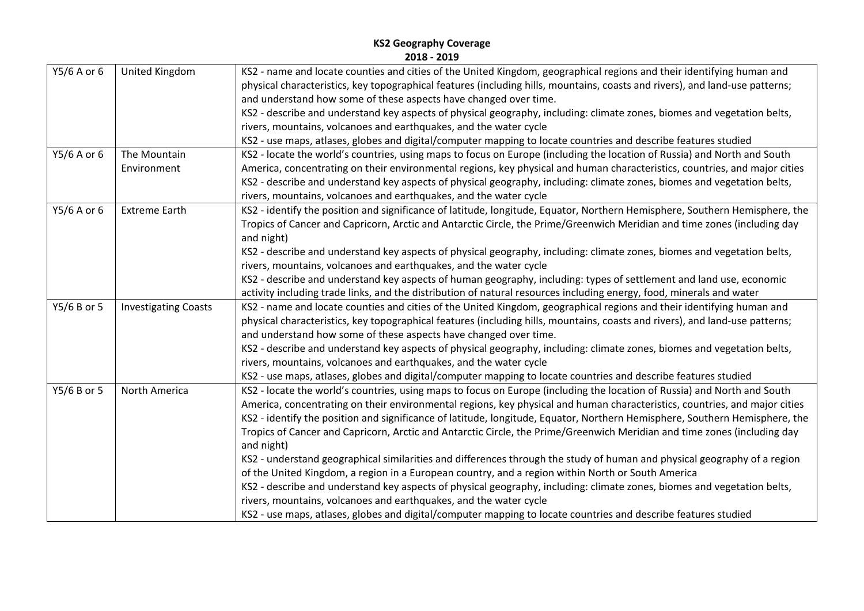| Y5/6 A or 6 | United Kingdom              | KS2 - name and locate counties and cities of the United Kingdom, geographical regions and their identifying human and        |
|-------------|-----------------------------|------------------------------------------------------------------------------------------------------------------------------|
|             |                             | physical characteristics, key topographical features (including hills, mountains, coasts and rivers), and land-use patterns; |
|             |                             | and understand how some of these aspects have changed over time.                                                             |
|             |                             | KS2 - describe and understand key aspects of physical geography, including: climate zones, biomes and vegetation belts,      |
|             |                             | rivers, mountains, volcanoes and earthquakes, and the water cycle                                                            |
|             |                             | KS2 - use maps, atlases, globes and digital/computer mapping to locate countries and describe features studied               |
| Y5/6 A or 6 | The Mountain                | KS2 - locate the world's countries, using maps to focus on Europe (including the location of Russia) and North and South     |
|             | Environment                 | America, concentrating on their environmental regions, key physical and human characteristics, countries, and major cities   |
|             |                             | KS2 - describe and understand key aspects of physical geography, including: climate zones, biomes and vegetation belts,      |
|             |                             | rivers, mountains, volcanoes and earthquakes, and the water cycle                                                            |
| Y5/6 A or 6 | <b>Extreme Earth</b>        | KS2 - identify the position and significance of latitude, longitude, Equator, Northern Hemisphere, Southern Hemisphere, the  |
|             |                             | Tropics of Cancer and Capricorn, Arctic and Antarctic Circle, the Prime/Greenwich Meridian and time zones (including day     |
|             |                             | and night)                                                                                                                   |
|             |                             | KS2 - describe and understand key aspects of physical geography, including: climate zones, biomes and vegetation belts,      |
|             |                             | rivers, mountains, volcanoes and earthquakes, and the water cycle                                                            |
|             |                             | KS2 - describe and understand key aspects of human geography, including: types of settlement and land use, economic          |
|             |                             | activity including trade links, and the distribution of natural resources including energy, food, minerals and water         |
| Y5/6 B or 5 | <b>Investigating Coasts</b> | KS2 - name and locate counties and cities of the United Kingdom, geographical regions and their identifying human and        |
|             |                             | physical characteristics, key topographical features (including hills, mountains, coasts and rivers), and land-use patterns; |
|             |                             | and understand how some of these aspects have changed over time.                                                             |
|             |                             | KS2 - describe and understand key aspects of physical geography, including: climate zones, biomes and vegetation belts,      |
|             |                             | rivers, mountains, volcanoes and earthquakes, and the water cycle                                                            |
|             |                             | KS2 - use maps, atlases, globes and digital/computer mapping to locate countries and describe features studied               |
| Y5/6 B or 5 | North America               | KS2 - locate the world's countries, using maps to focus on Europe (including the location of Russia) and North and South     |
|             |                             | America, concentrating on their environmental regions, key physical and human characteristics, countries, and major cities   |
|             |                             | KS2 - identify the position and significance of latitude, longitude, Equator, Northern Hemisphere, Southern Hemisphere, the  |
|             |                             | Tropics of Cancer and Capricorn, Arctic and Antarctic Circle, the Prime/Greenwich Meridian and time zones (including day     |
|             |                             | and night)                                                                                                                   |
|             |                             | KS2 - understand geographical similarities and differences through the study of human and physical geography of a region     |
|             |                             | of the United Kingdom, a region in a European country, and a region within North or South America                            |
|             |                             | KS2 - describe and understand key aspects of physical geography, including: climate zones, biomes and vegetation belts,      |
|             |                             | rivers, mountains, volcanoes and earthquakes, and the water cycle                                                            |
|             |                             | KS2 - use maps, atlases, globes and digital/computer mapping to locate countries and describe features studied               |